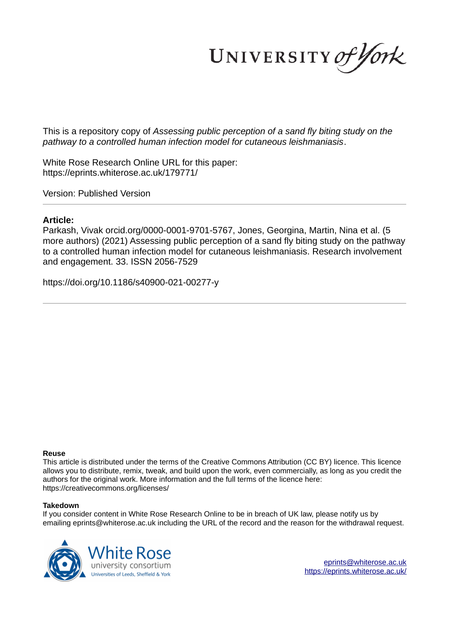UNIVERSITY of York

This is a repository copy of *Assessing public perception of a sand fly biting study on the pathway to a controlled human infection model for cutaneous leishmaniasis*.

White Rose Research Online URL for this paper: https://eprints.whiterose.ac.uk/179771/

Version: Published Version

# **Article:**

Parkash, Vivak orcid.org/0000-0001-9701-5767, Jones, Georgina, Martin, Nina et al. (5 more authors) (2021) Assessing public perception of a sand fly biting study on the pathway to a controlled human infection model for cutaneous leishmaniasis. Research involvement and engagement. 33. ISSN 2056-7529

https://doi.org/10.1186/s40900-021-00277-y

#### **Reuse**

This article is distributed under the terms of the Creative Commons Attribution (CC BY) licence. This licence allows you to distribute, remix, tweak, and build upon the work, even commercially, as long as you credit the authors for the original work. More information and the full terms of the licence here: https://creativecommons.org/licenses/

# **Takedown**

If you consider content in White Rose Research Online to be in breach of UK law, please notify us by emailing eprints@whiterose.ac.uk including the URL of the record and the reason for the withdrawal request.

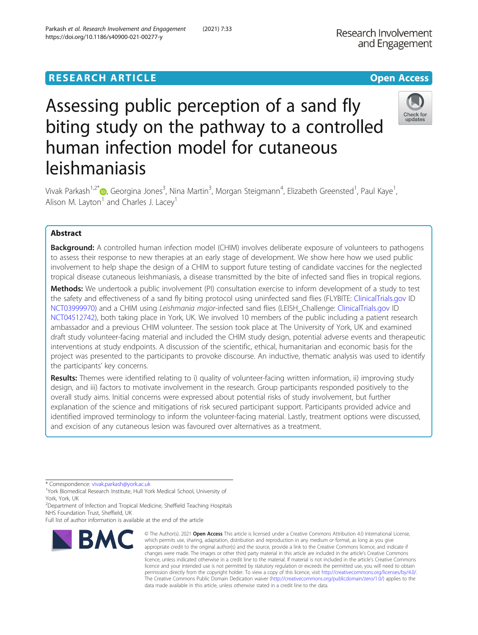# **RESEARCH ARTICLE Example 2014 12:30 The Contract of Contract ACCESS**

# Assessing public perception of a sand fly biting study on the pathway to a controlled human infection model for cutaneous leishmaniasis

Vivak Parkash<sup>1,2[\\*](http://orcid.org/0000-0001-9701-5767)</sup>®, Georgina Jones<sup>3</sup>, Nina Martin<sup>3</sup>, Morgan Steigmann<sup>4</sup>, Elizabeth Greensted<sup>1</sup>, Paul Kaye<sup>1</sup> , Alison M. Layton<sup>1</sup> and Charles J. Lacey<sup>1</sup>

# Abstract

**Background:** A controlled human infection model (CHIM) involves deliberate exposure of volunteers to pathogens to assess their response to new therapies at an early stage of development. We show here how we used public involvement to help shape the design of a CHIM to support future testing of candidate vaccines for the neglected tropical disease cutaneous leishmaniasis, a disease transmitted by the bite of infected sand flies in tropical regions.

Methods: We undertook a public involvement (PI) consultation exercise to inform development of a study to test the safety and effectiveness of a sand fly biting protocol using uninfected sand flies (FLYBITE: [ClinicalTrials.gov](http://clinicaltrials.gov) ID [NCT03999970](https://www.clinicaltrials.gov/ct2/show/NCT03999970)) and a CHIM using Leishmania major-infected sand flies (LEISH\_Challenge: [ClinicalTrials.gov](http://clinicaltrials.gov) ID [NCT04512742](https://clinicaltrials.gov/ct2/show/NCT04512742)), both taking place in York, UK. We involved 10 members of the public including a patient research ambassador and a previous CHIM volunteer. The session took place at The University of York, UK and examined draft study volunteer-facing material and included the CHIM study design, potential adverse events and therapeutic interventions at study endpoints. A discussion of the scientific, ethical, humanitarian and economic basis for the project was presented to the participants to provoke discourse. An inductive, thematic analysis was used to identify the participants' key concerns.

Results: Themes were identified relating to i) quality of volunteer-facing written information, ii) improving study design, and iii) factors to motivate involvement in the research. Group participants responded positively to the overall study aims. Initial concerns were expressed about potential risks of study involvement, but further explanation of the science and mitigations of risk secured participant support. Participants provided advice and identified improved terminology to inform the volunteer-facing material. Lastly, treatment options were discussed, and excision of any cutaneous lesion was favoured over alternatives as a treatment.

\* Correspondence: [vivak.parkash@york.ac.uk](mailto:vivak.parkash@york.ac.uk)

<sup>1</sup>York Biomedical Research Institute, Hull York Medical School, University of York, York, UK

<sup>2</sup>Department of Infection and Tropical Medicine, Sheffield Teaching Hospitals NHS Foundation Trust, Sheffield, UK

Full list of author information is available at the end of the article

appropriate credit to the original author(s) and the source, provide a link to the Creative Commons licence, and indicate if changes were made. The images or other third party material in this article are included in the article's Creative Commons licence, unless indicated otherwise in a credit line to the material. If material is not included in the article's Creative Commons licence and your intended use is not permitted by statutory regulation or exceeds the permitted use, you will need to obtain permission directly from the copyright holder. To view a copy of this licence, visit [http://creativecommons.org/licenses/by/4.0/.](http://creativecommons.org/licenses/by/4.0/) The Creative Commons Public Domain Dedication waiver [\(http://creativecommons.org/publicdomain/zero/1.0/](http://creativecommons.org/publicdomain/zero/1.0/)) applies to the data made available in this article, unless otherwise stated in a credit line to the data.

© The Author(s), 2021 **Open Access** This article is licensed under a Creative Commons Attribution 4.0 International License, which permits use, sharing, adaptation, distribution and reproduction in any medium or format, as long as you give

Research Involvement and Engagement

# **BMC**

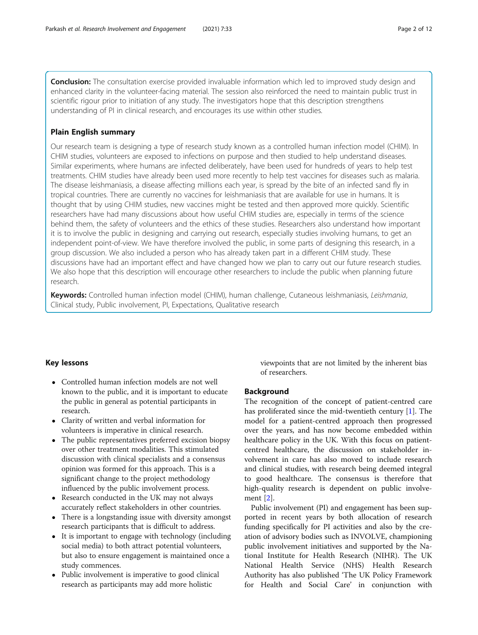**Conclusion:** The consultation exercise provided invaluable information which led to improved study design and enhanced clarity in the volunteer-facing material. The session also reinforced the need to maintain public trust in scientific rigour prior to initiation of any study. The investigators hope that this description strengthens understanding of PI in clinical research, and encourages its use within other studies.

#### Plain English summary

Our research team is designing a type of research study known as a controlled human infection model (CHIM). In CHIM studies, volunteers are exposed to infections on purpose and then studied to help understand diseases. Similar experiments, where humans are infected deliberately, have been used for hundreds of years to help test treatments. CHIM studies have already been used more recently to help test vaccines for diseases such as malaria. The disease leishmaniasis, a disease affecting millions each year, is spread by the bite of an infected sand fly in tropical countries. There are currently no vaccines for leishmaniasis that are available for use in humans. It is thought that by using CHIM studies, new vaccines might be tested and then approved more quickly. Scientific researchers have had many discussions about how useful CHIM studies are, especially in terms of the science behind them, the safety of volunteers and the ethics of these studies. Researchers also understand how important it is to involve the public in designing and carrying out research, especially studies involving humans, to get an independent point-of-view. We have therefore involved the public, in some parts of designing this research, in a group discussion. We also included a person who has already taken part in a different CHIM study. These discussions have had an important effect and have changed how we plan to carry out our future research studies. We also hope that this description will encourage other researchers to include the public when planning future research.

Keywords: Controlled human infection model (CHIM), human challenge, Cutaneous leishmaniasis, Leishmania, Clinical study, Public involvement, PI, Expectations, Qualitative research

#### Key lessons

- Controlled human infection models are not well known to the public, and it is important to educate the public in general as potential participants in research.
- Clarity of written and verbal information for volunteers is imperative in clinical research.
- The public representatives preferred excision biopsy over other treatment modalities. This stimulated discussion with clinical specialists and a consensus opinion was formed for this approach. This is a significant change to the project methodology influenced by the public involvement process.
- Research conducted in the UK may not always accurately reflect stakeholders in other countries.
- There is a longstanding issue with diversity amongst research participants that is difficult to address.
- It is important to engage with technology (including social media) to both attract potential volunteers, but also to ensure engagement is maintained once a study commences.
- Public involvement is imperative to good clinical research as participants may add more holistic

viewpoints that are not limited by the inherent bias of researchers.

#### Background

The recognition of the concept of patient-centred care has proliferated since the mid-twentieth century [\[1\]](#page-11-0). The model for a patient-centred approach then progressed over the years, and has now become embedded within healthcare policy in the UK. With this focus on patientcentred healthcare, the discussion on stakeholder involvement in care has also moved to include research and clinical studies, with research being deemed integral to good healthcare. The consensus is therefore that high-quality research is dependent on public involvement [[2\]](#page-11-0).

Public involvement (PI) and engagement has been supported in recent years by both allocation of research funding specifically for PI activities and also by the creation of advisory bodies such as INVOLVE, championing public involvement initiatives and supported by the National Institute for Health Research (NIHR). The UK National Health Service (NHS) Health Research Authority has also published 'The UK Policy Framework for Health and Social Care' in conjunction with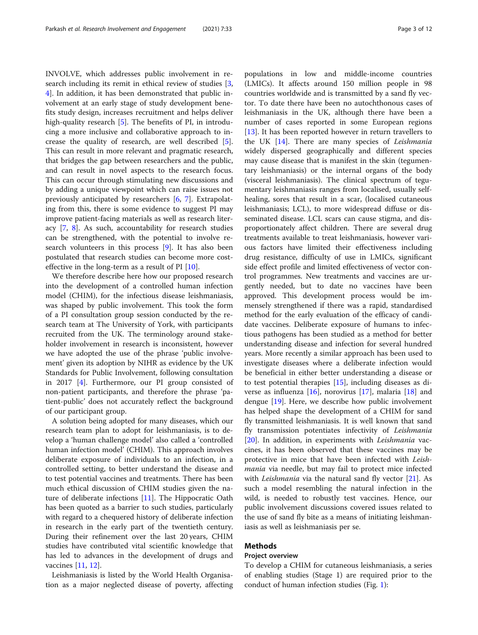INVOLVE, which addresses public involvement in research including its remit in ethical review of studies [\[3](#page-11-0), [4\]](#page-11-0). In addition, it has been demonstrated that public involvement at an early stage of study development benefits study design, increases recruitment and helps deliver high-quality research [\[5\]](#page-11-0). The benefits of PI, in introducing a more inclusive and collaborative approach to increase the quality of research, are well described [\[5](#page-11-0)]. This can result in more relevant and pragmatic research, that bridges the gap between researchers and the public, and can result in novel aspects to the research focus. This can occur through stimulating new discussions and by adding a unique viewpoint which can raise issues not previously anticipated by researchers [[6,](#page-11-0) [7](#page-11-0)]. Extrapolating from this, there is some evidence to suggest PI may improve patient-facing materials as well as research literacy [[7,](#page-11-0) [8](#page-11-0)]. As such, accountability for research studies can be strengthened, with the potential to involve research volunteers in this process [[9\]](#page-11-0). It has also been postulated that research studies can become more costeffective in the long-term as a result of PI [[10\]](#page-11-0).

We therefore describe here how our proposed research into the development of a controlled human infection model (CHIM), for the infectious disease leishmaniasis, was shaped by public involvement. This took the form of a PI consultation group session conducted by the research team at The University of York, with participants recruited from the UK. The terminology around stakeholder involvement in research is inconsistent, however we have adopted the use of the phrase 'public involvement' given its adoption by NIHR as evidence by the UK Standards for Public Involvement, following consultation in 2017 [[4\]](#page-11-0). Furthermore, our PI group consisted of non-patient participants, and therefore the phrase 'patient-public' does not accurately reflect the background of our participant group.

A solution being adopted for many diseases, which our research team plan to adopt for leishmaniasis, is to develop a 'human challenge model' also called a 'controlled human infection model' (CHIM). This approach involves deliberate exposure of individuals to an infection, in a controlled setting, to better understand the disease and to test potential vaccines and treatments. There has been much ethical discussion of CHIM studies given the nature of deliberate infections [\[11\]](#page-11-0). The Hippocratic Oath has been quoted as a barrier to such studies, particularly with regard to a chequered history of deliberate infection in research in the early part of the twentieth century. During their refinement over the last 20 years, CHIM studies have contributed vital scientific knowledge that has led to advances in the development of drugs and vaccines [[11](#page-11-0), [12](#page-11-0)].

Leishmaniasis is listed by the World Health Organisation as a major neglected disease of poverty, affecting

populations in low and middle-income countries (LMICs). It affects around 150 million people in 98 countries worldwide and is transmitted by a sand fly vector. To date there have been no autochthonous cases of leishmaniasis in the UK, although there have been a number of cases reported in some European regions [[13\]](#page-11-0). It has been reported however in return travellers to the UK [[14\]](#page-11-0). There are many species of *Leishmania* widely dispersed geographically and different species may cause disease that is manifest in the skin (tegumentary leishmaniasis) or the internal organs of the body (visceral leishmaniasis). The clinical spectrum of tegumentary leishmaniasis ranges from localised, usually selfhealing, sores that result in a scar, (localised cutaneous leishmaniasis; LCL), to more widespread diffuse or disseminated disease. LCL scars can cause stigma, and disproportionately affect children. There are several drug treatments available to treat leishmaniasis, however various factors have limited their effectiveness including drug resistance, difficulty of use in LMICs, significant side effect profile and limited effectiveness of vector control programmes. New treatments and vaccines are urgently needed, but to date no vaccines have been approved. This development process would be immensely strengthened if there was a rapid, standardised method for the early evaluation of the efficacy of candidate vaccines. Deliberate exposure of humans to infectious pathogens has been studied as a method for better understanding disease and infection for several hundred years. More recently a similar approach has been used to investigate diseases where a deliberate infection would be beneficial in either better understanding a disease or to test potential therapies [[15](#page-11-0)], including diseases as diverse as influenza  $[16]$  $[16]$  $[16]$ , norovirus  $[17]$  $[17]$  $[17]$ , malaria  $[18]$  $[18]$  and dengue [\[19\]](#page-11-0). Here, we describe how public involvement has helped shape the development of a CHIM for sand fly transmitted leishmaniasis. It is well known that sand fly transmission potentiates infectivity of *Leishmania* [[20\]](#page-11-0). In addition, in experiments with *Leishmania* vaccines, it has been observed that these vaccines may be protective in mice that have been infected with *Leishmania* via needle, but may fail to protect mice infected with *Leishmania* via the natural sand fly vector [\[21\]](#page-11-0). As such a model resembling the natural infection in the wild, is needed to robustly test vaccines. Hence, our public involvement discussions covered issues related to the use of sand fly bite as a means of initiating leishmaniasis as well as leishmaniasis per se.

# Methods

#### Project overview

To develop a CHIM for cutaneous leishmaniasis, a series of enabling studies (Stage 1) are required prior to the conduct of human infection studies (Fig. [1\)](#page-4-0):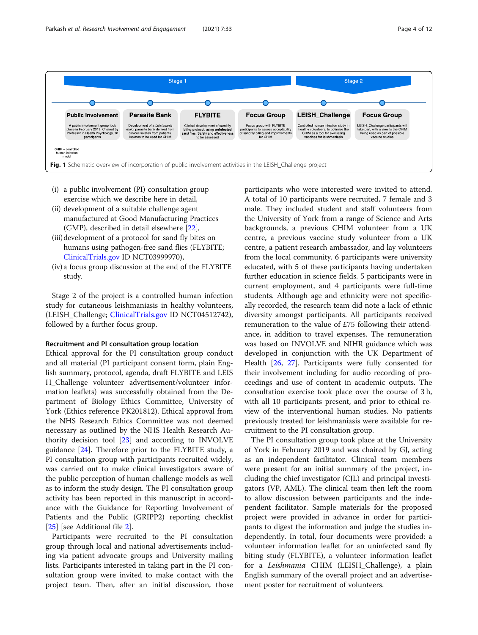<span id="page-4-0"></span>

- (i) a public involvement (PI) consultation group exercise which we describe here in detail,
- (ii) development of a suitable challenge agent manufactured at Good Manufacturing Practices (GMP), described in detail elsewhere [\[22\]](#page-11-0),
- (iii)development of a protocol for sand fly bites on humans using pathogen-free sand flies (FLYBITE; [ClinicalTrials.gov](http://clinicaltrials.gov) ID NCT03999970),
- (iv) a focus group discussion at the end of the FLYBITE study.

Stage 2 of the project is a controlled human infection study for cutaneous leishmaniasis in healthy volunteers, (LEISH\_Challenge; [ClinicalTrials.gov](http://clinicaltrials.gov) ID NCT04512742), followed by a further focus group.

#### Recruitment and PI consultation group location

Ethical approval for the PI consultation group conduct and all material (PI participant consent form, plain English summary, protocol, agenda, draft FLYBITE and LEIS H\_Challenge volunteer advertisement/volunteer information leaflets) was successfully obtained from the Department of Biology Ethics Committee, University of York (Ethics reference PK201812). Ethical approval from the NHS Research Ethics Committee was not deemed necessary as outlined by the NHS Health Research Authority decision tool [[23](#page-11-0)] and according to INVOLVE guidance [\[24\]](#page-11-0). Therefore prior to the FLYBITE study, a PI consultation group with participants recruited widely, was carried out to make clinical investigators aware of the public perception of human challenge models as well as to inform the study design. The PI consultation group activity has been reported in this manuscript in accordance with the Guidance for Reporting Involvement of Patients and the Public (GRIPP2) reporting checklist [[25\]](#page-11-0) [see Additional file [2\]](#page-10-0).

Participants were recruited to the PI consultation group through local and national advertisements including via patient advocate groups and University mailing lists. Participants interested in taking part in the PI consultation group were invited to make contact with the project team. Then, after an initial discussion, those

participants who were interested were invited to attend. A total of 10 participants were recruited, 7 female and 3 male. They included student and staff volunteers from the University of York from a range of Science and Arts backgrounds, a previous CHIM volunteer from a UK centre, a previous vaccine study volunteer from a UK centre, a patient research ambassador, and lay volunteers from the local community. 6 participants were university educated, with 5 of these participants having undertaken further education in science fields. 5 participants were in current employment, and 4 participants were full-time students. Although age and ethnicity were not specifically recorded, the research team did note a lack of ethnic diversity amongst participants. All participants received remuneration to the value of £75 following their attendance, in addition to travel expenses. The remuneration was based on INVOLVE and NIHR guidance which was developed in conjunction with the UK Department of Health [[26,](#page-11-0) [27\]](#page-11-0). Participants were fully consented for their involvement including for audio recording of proceedings and use of content in academic outputs. The consultation exercise took place over the course of 3 h, with all 10 participants present, and prior to ethical review of the interventional human studies. No patients previously treated for leishmaniasis were available for recruitment to the PI consultation group.

The PI consultation group took place at the University of York in February 2019 and was chaired by GJ, acting as an independent facilitator. Clinical team members were present for an initial summary of the project, including the chief investigator (CJL) and principal investigators (VP, AML). The clinical team then left the room to allow discussion between participants and the independent facilitator. Sample materials for the proposed project were provided in advance in order for participants to digest the information and judge the studies independently. In total, four documents were provided: a volunteer information leaflet for an uninfected sand fly biting study (FLYBITE), a volunteer information leaflet for a *Leishmania* CHIM (LEISH\_Challenge), a plain English summary of the overall project and an advertisement poster for recruitment of volunteers.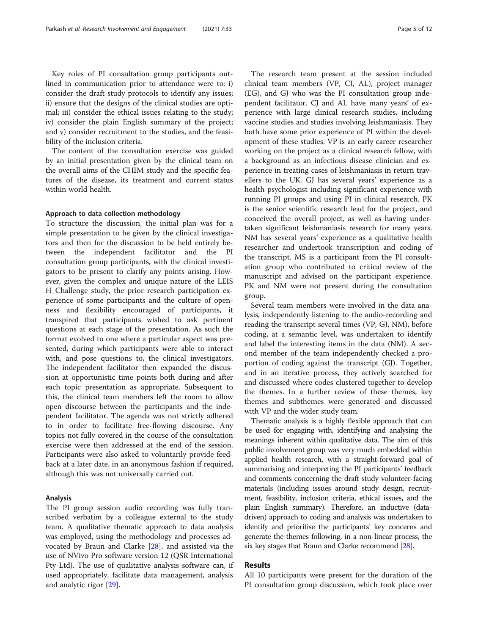Key roles of PI consultation group participants outlined in communication prior to attendance were to: i) consider the draft study protocols to identify any issues; ii) ensure that the designs of the clinical studies are optimal; iii) consider the ethical issues relating to the study; iv) consider the plain English summary of the project; and v) consider recruitment to the studies, and the feasibility of the inclusion criteria.

The content of the consultation exercise was guided by an initial presentation given by the clinical team on the overall aims of the CHIM study and the specific features of the disease, its treatment and current status within world health.

#### Approach to data collection methodology

To structure the discussion, the initial plan was for a simple presentation to be given by the clinical investigators and then for the discussion to be held entirely between the independent facilitator and the PI consultation group participants, with the clinical investigators to be present to clarify any points arising. However, given the complex and unique nature of the LEIS H\_Challenge study, the prior research participation experience of some participants and the culture of openness and flexibility encouraged of participants, it transpired that participants wished to ask pertinent questions at each stage of the presentation. As such the format evolved to one where a particular aspect was presented, during which participants were able to interact with, and pose questions to, the clinical investigators. The independent facilitator then expanded the discussion at opportunistic time points both during and after each topic presentation as appropriate. Subsequent to this, the clinical team members left the room to allow open discourse between the participants and the independent facilitator. The agenda was not strictly adhered to in order to facilitate free-flowing discourse. Any topics not fully covered in the course of the consultation exercise were then addressed at the end of the session. Participants were also asked to voluntarily provide feedback at a later date, in an anonymous fashion if required, although this was not universally carried out.

#### Analysis

The PI group session audio recording was fully transcribed verbatim by a colleague external to the study team. A qualitative thematic approach to data analysis was employed, using the methodology and processes advocated by Braun and Clarke [[28\]](#page-11-0), and assisted via the use of NVivo Pro software version 12 (QSR International Pty Ltd). The use of qualitative analysis software can, if used appropriately, facilitate data management, analysis and analytic rigor [[29\]](#page-11-0).

The research team present at the session included clinical team members (VP, CJ, AL), project manager (EG), and GJ who was the PI consultation group independent facilitator. CJ and AL have many years' of experience with large clinical research studies, including vaccine studies and studies involving leishmaniasis. They both have some prior experience of PI within the development of these studies. VP is an early career researcher working on the project as a clinical research fellow, with a background as an infectious disease clinician and experience in treating cases of leishmaniasis in return travellers to the UK. GJ has several years' experience as a health psychologist including significant experience with running PI groups and using PI in clinical research. PK is the senior scientific research lead for the project, and conceived the overall project, as well as having undertaken significant leishmaniasis research for many years. NM has several years' experience as a qualitative health researcher and undertook transcription and coding of the transcript. MS is a participant from the PI consultation group who contributed to critical review of the manuscript and advised on the participant experience. PK and NM were not present during the consultation group.

Several team members were involved in the data analysis, independently listening to the audio-recording and reading the transcript several times (VP, GJ, NM), before coding, at a semantic level, was undertaken to identify and label the interesting items in the data (NM). A second member of the team independently checked a proportion of coding against the transcript (GJ). Together, and in an iterative process, they actively searched for and discussed where codes clustered together to develop the themes. In a further review of these themes, key themes and subthemes were generated and discussed with VP and the wider study team.

Thematic analysis is a highly flexible approach that can be used for engaging with, identifying and analysing the meanings inherent within qualitative data. The aim of this public involvement group was very much embedded within applied health research, with a straight-forward goal of summarising and interpreting the PI participants' feedback and comments concerning the draft study volunteer-facing materials (including issues around study design, recruitment, feasibility, inclusion criteria, ethical issues, and the plain English summary). Therefore, an inductive (datadriven) approach to coding and analysis was undertaken to identify and prioritise the participants' key concerns and generate the themes following, in a non-linear process, the six key stages that Braun and Clarke recommend [\[28](#page-11-0)].

#### Results

All 10 participants were present for the duration of the PI consultation group discussion, which took place over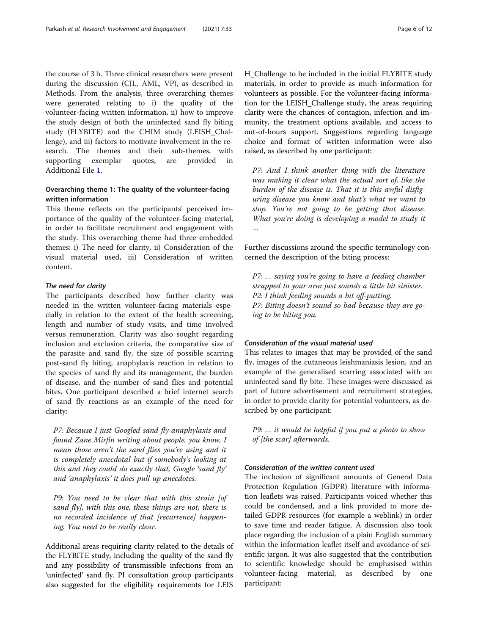the course of 3 h. Three clinical researchers were present during the discussion (CJL, AML, VP), as described in Methods. From the analysis, three overarching themes were generated relating to i) the quality of the volunteer-facing written information, ii) how to improve the study design of both the uninfected sand fly biting study (FLYBITE) and the CHIM study (LEISH\_Challenge), and iii) factors to motivate involvement in the research. The themes and their sub-themes, with supporting exemplar quotes, are provided in Additional File [1](#page-10-0).

### Overarching theme 1: The quality of the volunteer-facing written information

This theme reflects on the participants' perceived importance of the quality of the volunteer-facing material, in order to facilitate recruitment and engagement with the study. This overarching theme had three embedded themes: i) The need for clarity, ii) Consideration of the visual material used, iii) Consideration of written content.

#### The need for clarity

The participants described how further clarity was needed in the written volunteer-facing materials especially in relation to the extent of the health screening, length and number of study visits, and time involved versus remuneration. Clarity was also sought regarding inclusion and exclusion criteria, the comparative size of the parasite and sand fly, the size of possible scarring post-sand fly biting, anaphylaxis reaction in relation to the species of sand fly and its management, the burden of disease, and the number of sand flies and potential bites. One participant described a brief internet search of sand fly reactions as an example of the need for clarity:

*P7: Because I just Googled sand fly anaphylaxis and found Zane Mirfin writing about people, you know, I mean those aren*'*t the sand flies you*'*re using and it is completely anecdotal but if somebody*'*s looking at this and they could do exactly that, Google* '*sand fly*' *and* '*anaphylaxis*' *it does pull up anecdotes.*

*P9: You need to be clear that with this strain [of sand fly], with this one, these things are not, there is no recorded incidence of that [recurrence] happening. You need to be really clear.*

Additional areas requiring clarity related to the details of the FLYBITE study, including the quality of the sand fly and any possibility of transmissible infections from an 'uninfected' sand fly. PI consultation group participants also suggested for the eligibility requirements for LEIS H\_Challenge to be included in the initial FLYBITE study materials, in order to provide as much information for volunteers as possible. For the volunteer-facing information for the LEISH\_Challenge study, the areas requiring clarity were the chances of contagion, infection and immunity, the treatment options available, and access to out-of-hours support. Suggestions regarding language choice and format of written information were also raised, as described by one participant:

*P7: And I think another thing with the literature was making it clear what the actual sort of, like the burden of the disease is. That it is this awful disfiguring disease you know and that*'*s what we want to stop. You*'*re not going to be getting that disease. What you*'*re doing is developing a model to study it* …

Further discussions around the specific terminology concerned the description of the biting process:

*P7:* … *saying you*'*re going to have a feeding chamber strapped to your arm just sounds a little bit sinister. P2: I think feeding sounds a bit off-putting. P7: Biting doesn*'*t sound so bad because they are going to be biting you.*

#### Consideration of the visual material used

This relates to images that may be provided of the sand fly, images of the cutaneous leishmaniasis lesion, and an example of the generalised scarring associated with an uninfected sand fly bite. These images were discussed as part of future advertisement and recruitment strategies, in order to provide clarity for potential volunteers, as described by one participant:

*P9:* … *it would be helpful if you put a photo to show of [the scar] afterwards.*

#### Consideration of the written content used

The inclusion of significant amounts of General Data Protection Regulation (GDPR) literature with information leaflets was raised. Participants voiced whether this could be condensed, and a link provided to more detailed GDPR resources (for example a weblink) in order to save time and reader fatigue. A discussion also took place regarding the inclusion of a plain English summary within the information leaflet itself and avoidance of scientific jargon. It was also suggested that the contribution to scientific knowledge should be emphasised within volunteer-facing material, as described by one participant: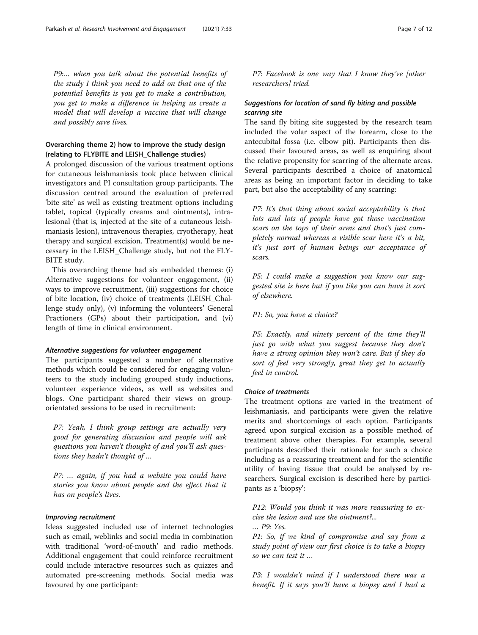*P9:*… *when you talk about the potential benefits of the study I think you need to add on that one of the potential benefits is you get to make a contribution, you get to make a difference in helping us create a model that will develop a vaccine that will change and possibly save lives.*

#### Overarching theme 2) how to improve the study design (relating to FLYBITE and LEISH\_Challenge studies)

A prolonged discussion of the various treatment options for cutaneous leishmaniasis took place between clinical investigators and PI consultation group participants. The discussion centred around the evaluation of preferred 'bite site' as well as existing treatment options including tablet, topical (typically creams and ointments), intralesional (that is, injected at the site of a cutaneous leishmaniasis lesion), intravenous therapies, cryotherapy, heat therapy and surgical excision. Treatment(s) would be necessary in the LEISH\_Challenge study, but not the FLY-BITE study.

This overarching theme had six embedded themes: (i) Alternative suggestions for volunteer engagement, (ii) ways to improve recruitment, (iii) suggestions for choice of bite location, (iv) choice of treatments (LEISH\_Challenge study only), (v) informing the volunteers' General Practioners (GPs) about their participation, and (vi) length of time in clinical environment.

#### Alternative suggestions for volunteer engagement

The participants suggested a number of alternative methods which could be considered for engaging volunteers to the study including grouped study inductions, volunteer experience videos, as well as websites and blogs. One participant shared their views on grouporientated sessions to be used in recruitment:

*P7: Yeah, I think group settings are actually very good for generating discussion and people will ask questions you haven*'*t thought of and you*'*ll ask questions they hadn*'*t thought of* …

*P7:* … *again, if you had a website you could have stories you know about people and the effect that it has on people*'*s lives.*

#### Improving recruitment

Ideas suggested included use of internet technologies such as email, weblinks and social media in combination with traditional 'word-of-mouth' and radio methods. Additional engagement that could reinforce recruitment could include interactive resources such as quizzes and automated pre-screening methods. Social media was favoured by one participant:

*P7: Facebook is one way that I know they*'*ve [other researchers] tried.*

#### Suggestions for location of sand fly biting and possible scarring site

The sand fly biting site suggested by the research team included the volar aspect of the forearm, close to the antecubital fossa (i.e. elbow pit). Participants then discussed their favoured areas, as well as enquiring about the relative propensity for scarring of the alternate areas. Several participants described a choice of anatomical areas as being an important factor in deciding to take part, but also the acceptability of any scarring:

*P7: It*'*s that thing about social acceptability is that lots and lots of people have got those vaccination scars on the tops of their arms and that*'*s just completely normal whereas a visible scar here it*'*s a bit, it*'*s just sort of human beings our acceptance of scars.*

*P5: I could make a suggestion you know our suggested site is here but if you like you can have it sort of elsewhere.*

*P1: So, you have a choice?*

*P5: Exactly, and ninety percent of the time they*'*ll just go with what you suggest because they don*'*t have a strong opinion they won*'*t care. But if they do sort of feel very strongly, great they get to actually feel in control.*

#### Choice of treatments

The treatment options are varied in the treatment of leishmaniasis, and participants were given the relative merits and shortcomings of each option. Participants agreed upon surgical excision as a possible method of treatment above other therapies. For example, several participants described their rationale for such a choice including as a reassuring treatment and for the scientific utility of having tissue that could be analysed by researchers. Surgical excision is described here by participants as a 'biopsy':

*P12: Would you think it was more reassuring to excise the lesion and use the ointment?...*

… *P9: Yes.*

*P1: So, if we kind of compromise and say from a study point of view our first choice is to take a biopsy so we can test it* …

*P3: I wouldn*'*t mind if I understood there was a benefit. If it says you*'*ll have a biopsy and I had a*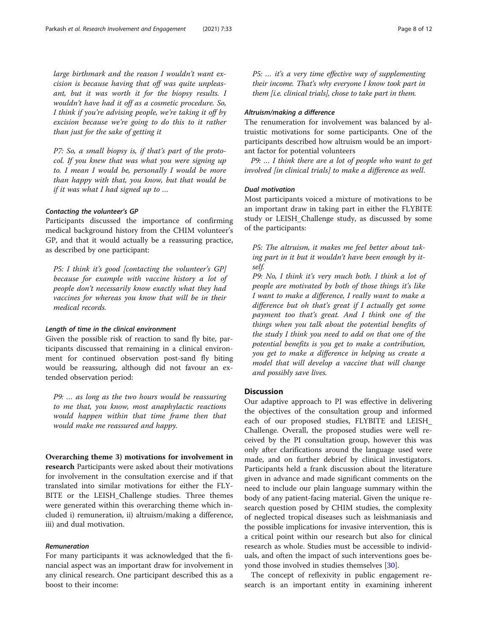*large birthmark and the reason I wouldn*'*t want excision is because having that off was quite unpleasant, but it was worth it for the biopsy results. I wouldn*'*t have had it off as a cosmetic procedure. So, I think if you*'*re advising people, we*'*re taking it off by excision because we*'*re going to do this to it rather than just for the sake of getting it*

*P7: So, a small biopsy is, if that*'*s part of the protocol. If you knew that was what you were signing up to. I mean I would be, personally I would be more than happy with that, you know, but that would be if it was what I had signed up to* …

#### Contacting the volunteer's GP

Participants discussed the importance of confirming medical background history from the CHIM volunteer's GP, and that it would actually be a reassuring practice, as described by one participant:

*P5: I think it*'*s good [contacting the volunteer*'*s GP] because for example with vaccine history a lot of people don*'*t necessarily know exactly what they had vaccines for whereas you know that will be in their medical records.*

#### Length of time in the clinical environment

Given the possible risk of reaction to sand fly bite, participants discussed that remaining in a clinical environment for continued observation post-sand fly biting would be reassuring, although did not favour an extended observation period:

*P9:* … *as long as the two hours would be reassuring to me that, you know, most anaphylactic reactions would happen within that time frame then that would make me reassured and happy.*

Overarching theme 3) motivations for involvement in research Participants were asked about their motivations for involvement in the consultation exercise and if that translated into similar motivations for either the FLY-BITE or the LEISH\_Challenge studies. Three themes were generated within this overarching theme which included i) remuneration, ii) altruism/making a difference, iii) and dual motivation.

#### Remuneration

For many participants it was acknowledged that the financial aspect was an important draw for involvement in any clinical research. One participant described this as a boost to their income:

*P5:* … *it*'*s a very time effective way of supplementing their income. That*'*s why everyone I know took part in them [i.e. clinical trials], chose to take part in them.*

#### Altruism/making a difference

The renumeration for involvement was balanced by altruistic motivations for some participants. One of the participants described how altruism would be an important factor for potential volunteers

*P9:* … *I think there are a lot of people who want to get involved [in clinical trials] to make a difference as well*.

#### Dual motivation

Most participants voiced a mixture of motivations to be an important draw in taking part in either the FLYBITE study or LEISH\_Challenge study, as discussed by some of the participants:

*P5: The altruism, it makes me feel better about taking part in it but it wouldn*'*t have been enough by itself.*

*P9: No, I think it*'*s very much both. I think a lot of people are motivated by both of those things it*'*s like I want to make a difference, I really want to make a difference but oh that*'*s great if I actually get some payment too that*'*s great. And I think one of the things when you talk about the potential benefits of the study I think you need to add on that one of the potential benefits is you get to make a contribution, you get to make a difference in helping us create a model that will develop a vaccine that will change and possibly save lives.*

#### **Discussion**

Our adaptive approach to PI was effective in delivering the objectives of the consultation group and informed each of our proposed studies, FLYBITE and LEISH\_ Challenge. Overall, the proposed studies were well received by the PI consultation group, however this was only after clarifications around the language used were made, and on further debrief by clinical investigators. Participants held a frank discussion about the literature given in advance and made significant comments on the need to include our plain language summary within the body of any patient-facing material. Given the unique research question posed by CHIM studies, the complexity of neglected tropical diseases such as leishmaniasis and the possible implications for invasive intervention, this is a critical point within our research but also for clinical research as whole. Studies must be accessible to individuals, and often the impact of such interventions goes beyond those involved in studies themselves [\[30](#page-11-0)].

The concept of reflexivity in public engagement research is an important entity in examining inherent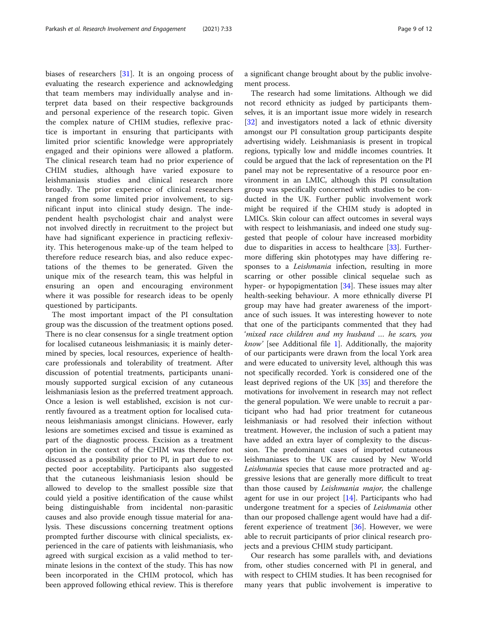biases of researchers [\[31](#page-11-0)]. It is an ongoing process of evaluating the research experience and acknowledging that team members may individually analyse and interpret data based on their respective backgrounds and personal experience of the research topic. Given the complex nature of CHIM studies, reflexive practice is important in ensuring that participants with limited prior scientific knowledge were appropriately engaged and their opinions were allowed a platform. The clinical research team had no prior experience of CHIM studies, although have varied exposure to leishmaniasis studies and clinical research more broadly. The prior experience of clinical researchers ranged from some limited prior involvement, to significant input into clinical study design. The independent health psychologist chair and analyst were not involved directly in recruitment to the project but have had significant experience in practicing reflexivity. This heterogenous make-up of the team helped to therefore reduce research bias, and also reduce expectations of the themes to be generated. Given the unique mix of the research team, this was helpful in ensuring an open and encouraging environment where it was possible for research ideas to be openly questioned by participants.

The most important impact of the PI consultation group was the discussion of the treatment options posed. There is no clear consensus for a single treatment option for localised cutaneous leishmaniasis; it is mainly determined by species, local resources, experience of healthcare professionals and tolerability of treatment. After discussion of potential treatments, participants unanimously supported surgical excision of any cutaneous leishmaniasis lesion as the preferred treatment approach. Once a lesion is well established, excision is not currently favoured as a treatment option for localised cutaneous leishmaniasis amongst clinicians. However, early lesions are sometimes excised and tissue is examined as part of the diagnostic process. Excision as a treatment option in the context of the CHIM was therefore not discussed as a possibility prior to PI, in part due to expected poor acceptability. Participants also suggested that the cutaneous leishmaniasis lesion should be allowed to develop to the smallest possible size that could yield a positive identification of the cause whilst being distinguishable from incidental non-parasitic causes and also provide enough tissue material for analysis. These discussions concerning treatment options prompted further discourse with clinical specialists, experienced in the care of patients with leishmaniasis, who agreed with surgical excision as a valid method to terminate lesions in the context of the study. This has now been incorporated in the CHIM protocol, which has been approved following ethical review. This is therefore a significant change brought about by the public involvement process.

The research had some limitations. Although we did not record ethnicity as judged by participants themselves, it is an important issue more widely in research [[32\]](#page-11-0) and investigators noted a lack of ethnic diversity amongst our PI consultation group participants despite advertising widely. Leishmaniasis is present in tropical regions, typically low and middle incomes countries. It could be argued that the lack of representation on the PI panel may not be representative of a resource poor environment in an LMIC, although this PI consultation group was specifically concerned with studies to be conducted in the UK. Further public involvement work might be required if the CHIM study is adopted in LMICs. Skin colour can affect outcomes in several ways with respect to leishmaniasis, and indeed one study suggested that people of colour have increased morbidity due to disparities in access to healthcare [[33\]](#page-11-0). Furthermore differing skin phototypes may have differing responses to a *Leishmania* infection, resulting in more scarring or other possible clinical sequelae such as hyper- or hypopigmentation [\[34](#page-11-0)]. These issues may alter health-seeking behaviour. A more ethnically diverse PI group may have had greater awareness of the importance of such issues. It was interesting however to note that one of the participants commented that they had '*mixed race children and my husband* … *he scars, you know*' [see Additional file [1](#page-10-0)]. Additionally, the majority of our participants were drawn from the local York area and were educated to university level, although this was not specifically recorded. York is considered one of the least deprived regions of the UK [[35\]](#page-11-0) and therefore the motivations for involvement in research may not reflect the general population. We were unable to recruit a participant who had had prior treatment for cutaneous leishmaniasis or had resolved their infection without treatment. However, the inclusion of such a patient may have added an extra layer of complexity to the discussion. The predominant cases of imported cutaneous leishmaniases to the UK are caused by New World *Leishmania* species that cause more protracted and aggressive lesions that are generally more difficult to treat than those caused by *Leishmania major,* the challenge agent for use in our project [[14](#page-11-0)]. Participants who had undergone treatment for a species of *Leishmania* other than our proposed challenge agent would have had a different experience of treatment [[36\]](#page-12-0). However, we were able to recruit participants of prior clinical research projects and a previous CHIM study participant.

Our research has some parallels with, and deviations from, other studies concerned with PI in general, and with respect to CHIM studies. It has been recognised for many years that public involvement is imperative to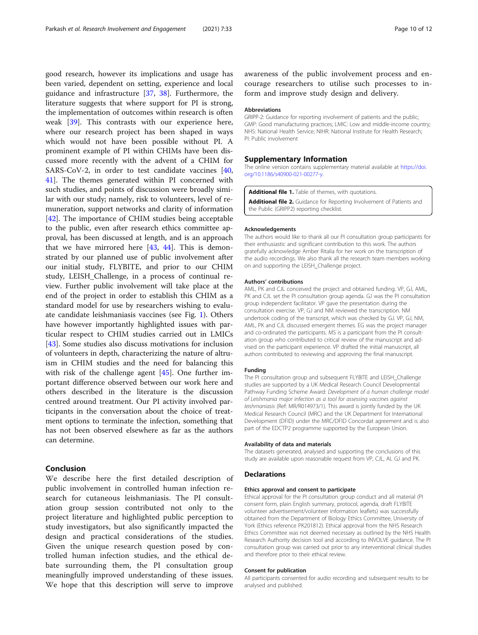<span id="page-10-0"></span>good research, however its implications and usage has been varied, dependent on setting, experience and local guidance and infrastructure [[37,](#page-12-0) [38](#page-12-0)]. Furthermore, the literature suggests that where support for PI is strong, the implementation of outcomes within research is often weak [[39\]](#page-12-0). This contrasts with our experience here, where our research project has been shaped in ways which would not have been possible without PI. A prominent example of PI within CHIMs have been discussed more recently with the advent of a CHIM for SARS-CoV-2, in order to test candidate vaccines [[40](#page-12-0), [41\]](#page-12-0). The themes generated within PI concerned with such studies, and points of discussion were broadly similar with our study; namely, risk to volunteers, level of remuneration, support networks and clarity of information [[42\]](#page-12-0). The importance of CHIM studies being acceptable to the public, even after research ethics committee approval, has been discussed at length, and is an approach that we have mirrored here  $[43, 44]$  $[43, 44]$  $[43, 44]$  $[43, 44]$ . This is demonstrated by our planned use of public involvement after our initial study, FLYBITE, and prior to our CHIM study, LEISH\_Challenge, in a process of continual review. Further public involvement will take place at the end of the project in order to establish this CHIM as a standard model for use by researchers wishing to evaluate candidate leishmaniasis vaccines (see Fig. [1](#page-4-0)). Others have however importantly highlighted issues with particular respect to CHIM studies carried out in LMICs [[43\]](#page-12-0). Some studies also discuss motivations for inclusion of volunteers in depth, characterizing the nature of altruism in CHIM studies and the need for balancing this with risk of the challenge agent [\[45](#page-12-0)]. One further important difference observed between our work here and others described in the literature is the discussion centred around treatment. Our PI activity involved participants in the conversation about the choice of treatment options to terminate the infection, something that has not been observed elsewhere as far as the authors can determine.

#### Conclusion

We describe here the first detailed description of public involvement in controlled human infection research for cutaneous leishmaniasis. The PI consultation group session contributed not only to the project literature and highlighted public perception to study investigators, but also significantly impacted the design and practical considerations of the studies. Given the unique research question posed by controlled human infection studies, and the ethical debate surrounding them, the PI consultation group meaningfully improved understanding of these issues. We hope that this description will serve to improve

awareness of the public involvement process and encourage researchers to utilise such processes to inform and improve study design and delivery.

#### Abbreviations

GRIPP-2: Guidance for reporting involvement of patients and the public; GMP: Good manufacturing practices; LMIC: Low and middle-income country; NHS: National Health Service; NIHR: National Institute for Health Research; PI: Public involvement

#### Supplementary Information

The online version contains supplementary material available at [https://doi.](https://doi.org/10.1186/s40900-021-00277-y) [org/10.1186/s40900-021-00277-y](https://doi.org/10.1186/s40900-021-00277-y).

Additional file 1. Table of themes, with quotations. Additional file 2. Guidance for Reporting Involvement of Patients and the Public (GRIPP2) reporting checklist.

#### Acknowledgements

The authors would like to thank all our PI consultation group participants for their enthusiastic and significant contribution to this work. The authors gratefully acknowledge Amber Ritalia for her work on the transcription of the audio recordings. We also thank all the research team members working on and supporting the LEISH\_Challenge project.

#### Authors' contributions

AML, PK and CJL conceived the project and obtained funding. VP, GJ, AML, PK and CJL set the PI consultation group agenda. GJ was the PI consultation group independent facilitator. VP gave the presentation during the consultation exercise. VP, GJ and NM reviewed the transcription. NM undertook coding of the transcript, which was checked by GJ. VP, GJ, NM, AML, PK and CJL discussed emergent themes. EG was the project manager and co-ordinated the participants. MS is a participant from the PI consultation group who contributed to critical review of the manuscript and advised on the participant experience. VP drafted the initial manuscript, all authors contributed to reviewing and approving the final manuscript.

#### Funding

The PI consultation group and subsequent FLYBITE and LEISH\_Challenge studies are supported by a UK Medical Research Council Developmental Pathway Funding Scheme Award: Development of a human challenge model of Leishmania major infection as a tool for assessing vaccines against leishmaniasis (Ref: MR/R014973/1). This award is jointly funded by the UK Medical Research Council (MRC) and the UK Department for International Development (DFID) under the MRC/DFID Concordat agreement and is also part of the EDCTP2 programme supported by the European Union.

#### Availability of data and materials

The datasets generated, analysed and supporting the conclusions of this study are available upon reasonable request from VP, CJL, AL GJ and PK.

#### Declarations

#### Ethics approval and consent to participate

Ethical approval for the PI consultation group conduct and all material (PI consent form, plain English summary, protocol, agenda, draft FLYBITE volunteer advertisement/volunteer information leaflets) was successfully obtained from the Department of Biology Ethics Committee, University of York (Ethics reference PK201812). Ethical approval from the NHS Research Ethics Committee was not deemed necessary as outlined by the NHS Health Research Authority decision tool and according to INVOLVE guidance. The PI consultation group was carried out prior to any interventional clinical studies and therefore prior to their ethical review.

#### Consent for publication

All participants consented for audio recording and subsequent results to be analysed and published.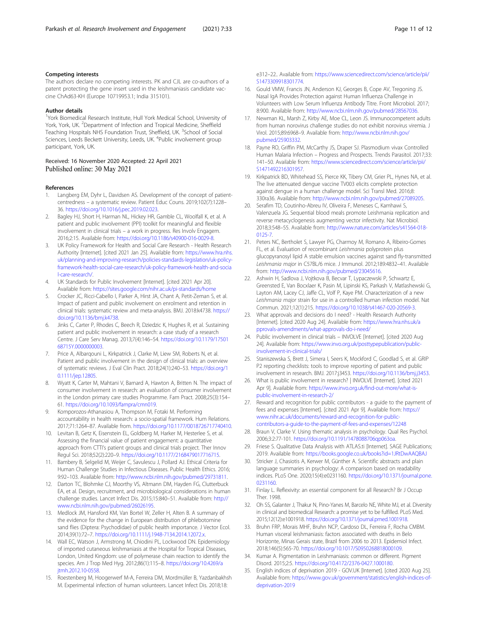#### <span id="page-11-0"></span>Competing interests

The authors declare no competing interests. PK and CJL are co-authors of a patent protecting the gene insert used in the leishmaniasis candidate vaccine ChAd63-KH (Europe 10719953.1; India 315101).

#### Author details

<sup>1</sup>York Biomedical Research Institute, Hull York Medical School, University of York, York, UK. <sup>2</sup>Department of Infection and Tropical Medicine, Sheffield Teaching Hospitals NHS Foundation Trust, Sheffield, UK. <sup>3</sup>School of Social Sciences, Leeds Beckett University, Leeds, UK. <sup>4</sup>Public involvement group participant, York, UK.

#### Received: 16 November 2020 Accepted: 22 April 2021 Published online: 30 May 2021

#### References

- 1. Langberg EM, Dyhr L, Davidsen AS. Development of the concept of patientcentredness – a systematic review. Patient Educ Couns. 2019;102(7):1228– 36. <https://doi.org/10.1016/j.pec.2019.02.023>.
- 2. Bagley HJ, Short H, Harman NL, Hickey HR, Gamble CL, Woolfall K, et al. A patient and public involvement (PPI) toolkit for meaningful and flexible involvement in clinical trials – a work in progress. Res Involv Engagem. 2016;2:15. Available from: <https://doi.org/10.1186/s40900-016-0029-8>.
- UK Policy Framework for Health and Social Care Research Health Research Authority [Internet]. [cited 2021 Jan 25]. Available from: [https://www.hra.nhs.](https://www.hra.nhs.uk/planning-and-improving-research/policies-standards-legislation/uk-policy-framework-health-social-care-research/uk-policy-framework-health-and-social-care-research/) [uk/planning-and-improving-research/policies-standards-legislation/uk-policy](https://www.hra.nhs.uk/planning-and-improving-research/policies-standards-legislation/uk-policy-framework-health-social-care-research/uk-policy-framework-health-and-social-care-research/)[framework-health-social-care-research/uk-policy-framework-health-and-socia](https://www.hra.nhs.uk/planning-and-improving-research/policies-standards-legislation/uk-policy-framework-health-social-care-research/uk-policy-framework-health-and-social-care-research/) [l-care-research/](https://www.hra.nhs.uk/planning-and-improving-research/policies-standards-legislation/uk-policy-framework-health-social-care-research/uk-policy-framework-health-and-social-care-research/).
- 4. UK Standards for Public Involvement [Internet]. [cited 2021 Apr 20]. Available from: <https://sites.google.com/nihr.ac.uk/pi-standards/home>
- 5. Crocker JC, Ricci-Cabello I, Parker A, Hirst JA, Chant A, Petit-Zeman S, et al. Impact of patient and public involvement on enrolment and retention in clinical trials: systematic review and meta-analysis. BMJ. 2018:k4738. [https://](https://doi.org/10.1136/bmj.k4738) [doi.org/10.1136/bmj.k4738](https://doi.org/10.1136/bmj.k4738).
- 6. Jinks C, Carter P, Rhodes C, Beech R, Dziedzic K, Hughes R, et al. Sustaining patient and public involvement in research: a case study of a research Centre. J Care Serv Manag. 2013;7(4):146–54. [https://doi.org/10.1179/17501](https://doi.org/10.1179/1750168715Y.0000000003) [68715Y.0000000003.](https://doi.org/10.1179/1750168715Y.0000000003)
- 7. Price A, Albarqouni L, Kirkpatrick J, Clarke M, Liew SM, Roberts N, et al. Patient and public involvement in the design of clinical trials: an overview of systematic reviews. J Eval Clin Pract. 2018;24(1):240–53. [https://doi.org/1](https://doi.org/10.1111/jep.12805) [0.1111/jep.12805](https://doi.org/10.1111/jep.12805).
- 8. Wyatt K, Carter M, Mahtani V, Barnard A, Hawton A, Britten N. The impact of consumer involvement in research: an evaluation of consumer involvement in the London primary care studies Programme. Fam Pract. 2008;25(3):154– 61. <https://doi.org/10.1093/fampra/cmn019>.
- 9. Komporozos-Athanasiou A, Thompson M, Fotaki M. Performing accountability in health research: a socio-spatial framework. Hum Relations. 2017;71:1264–87. Available from. <https://doi.org/10.1177/0018726717740410>.
- 10. Levitan B, Getz K, Eisenstein EL, Goldberg M, Harker M, Hesterlee S, et al. Assessing the financial value of patient engagement: a quantitative approach from CTTI's patient groups and clinical trials project. Ther Innov Regul Sci. 2018;52(2):220–9. <https://doi.org/10.1177/2168479017716715>.
- 11. Bambery B, Selgelid M, Weijer C, Savulescu J, Pollard AJ. Ethical Criteria for Human Challenge Studies in Infectious Diseases. Public Health Ethics. 2016; 9:92–103. Available from: [http://www.ncbi.nlm.nih.gov/pubmed/29731811.](http://www.ncbi.nlm.nih.gov/pubmed/29731811)
- 12. Darton TC, Blohmke CJ, Moorthy VS, Altmann DM, Hayden FG, Clutterbuck EA, et al. Design, recruitment, and microbiological considerations in human challenge studies. Lancet Infect Dis. 2015;15:840–51. Available from: [http://](http://www.ncbi.nlm.nih.gov/pubmed/26026195) [www.ncbi.nlm.nih.gov/pubmed/26026195.](http://www.ncbi.nlm.nih.gov/pubmed/26026195)
- 13. Medlock JM, Hansford KM, Van Bortel W, Zeller H, Alten B. A summary of the evidence for the change in European distribution of phlebotomine sand flies (Diptera: Psychodidae) of public health importance. J Vector Ecol. 2014;39(1):72–7. <https://doi.org/10.1111/j.1948-7134.2014.12072.x>.
- 14. Wall EC, Watson J, Armstrong M, Chiodini PL, Lockwood DN. Epidemiology of imported cutaneous leishmaniasis at the Hospital for Tropical Diseases, London, United Kingdom: use of polymerase chain reaction to identify the species. Am J Trop Med Hyg. 2012;86(1):115–8. [https://doi.org/10.4269/a](https://doi.org/10.4269/ajtmh.2012.10-0558) [jtmh.2012.10-0558](https://doi.org/10.4269/ajtmh.2012.10-0558).
- 15. Roestenberg M, Hoogerwerf M-A, Ferreira DM, Mordmüller B, Yazdanbakhsh M. Experimental infection of human volunteers. Lancet Infect Dis. 2018;18:

e312–22.. Available from: [https://www.sciencedirect.com/science/article/pii/](https://www.sciencedirect.com/science/article/pii/S1473309918301774) [S1473309918301774.](https://www.sciencedirect.com/science/article/pii/S1473309918301774)

- 16. Gould VMW, Francis JN, Anderson KJ, Georges B, Cope AV, Tregoning JS. Nasal IgA Provides Protection against Human Influenza Challenge in Volunteers with Low Serum Influenza Antibody Titre. Front Microbiol. 2017; 8:900. Available from: <http://www.ncbi.nlm.nih.gov/pubmed/28567036>.
- 17. Newman KL, Marsh Z, Kirby AE, Moe CL, Leon JS. Immunocompetent adults from human norovirus challenge studies do not exhibit norovirus viremia. J Virol. 2015;89:6968–9. Available from: [http://www.ncbi.nlm.nih.gov/](http://www.ncbi.nlm.nih.gov/pubmed/25903332) [pubmed/25903332.](http://www.ncbi.nlm.nih.gov/pubmed/25903332)
- 18. Payne RO, Griffin PM, McCarthy JS, Draper SJ. Plasmodium vivax Controlled Human Malaria Infection – Progress and Prospects. Trends Parasitol. 2017;33: 141–50. Available from: [https://www.sciencedirect.com/science/article/pii/](https://www.sciencedirect.com/science/article/pii/S1471492216301957) [S1471492216301957.](https://www.sciencedirect.com/science/article/pii/S1471492216301957)
- 19. Kirkpatrick BD, Whitehead SS, Pierce KK, Tibery CM, Grier PL, Hynes NA, et al. The live attenuated dengue vaccine TV003 elicits complete protection against dengue in a human challenge model. Sci Transl Med. 2016;8: 330ra36. Available from: [http://www.ncbi.nlm.nih.gov/pubmed/27089205.](http://www.ncbi.nlm.nih.gov/pubmed/27089205)
- 20. Serafim TD, Coutinho-Abreu IV, Oliveira F, Meneses C, Kamhawi S, Valenzuela JG. Sequential blood meals promote Leishmania replication and reverse metacyclogenesis augmenting vector infectivity. Nat Microbiol. 2018;3:548–55. Available from: [http://www.nature.com/articles/s41564-018-](http://www.nature.com/articles/s41564-018-0125-7) [0125-7.](http://www.nature.com/articles/s41564-018-0125-7)
- 21. Peters NC, Bertholet S, Lawyer PG, Charmoy M, Romano A, Ribeiro-Gomes FL, et al. Evaluation of recombinant Leishmania polyprotein plus glucopyranosyl lipid A stable emulsion vaccines against sand fly-transmitted Leishmania major in C57BL/6 mice. J Immunol. 2012;189:4832–41. Available from: [http://www.ncbi.nlm.nih.gov/pubmed/23045616.](http://www.ncbi.nlm.nih.gov/pubmed/23045616)
- 22. Ashwin H, Sadlova J, Vojtkova B, Becvar T, Lypaczewski P, Schwartz E, Greensted E, Van Bocxlaer K, Pasin M, Lipinski KS, Parkash V, Matlashewski G, Layton AM, Lacey CJ, Jaffe CL, Volf P, Kaye PM. Characterization of a new Leishmania major strain for use in a controlled human infection model. Nat Commun. 2021;12(1):215. <https://doi.org/10.1038/s41467-020-20569-3>.
- 23. What approvals and decisions do I need? Health Research Authority [Internet]. [cited 2020 Aug 24]. Available from: [https://www.hra.nhs.uk/a](https://www.hra.nhs.uk/approvals-amendments/what-approvals-do-i-need/) [pprovals-amendments/what-approvals-do-i-need/](https://www.hra.nhs.uk/approvals-amendments/what-approvals-do-i-need/)
- 24. Public involvement in clinical trials INVOLVE [Internet]. [cited 2020 Aug 24]. Available from: [https://www.invo.org.uk/posttypepublication/public](https://www.invo.org.uk/posttypepublication/public-involvement-in-clinical-trials/)[involvement-in-clinical-trials/](https://www.invo.org.uk/posttypepublication/public-involvement-in-clinical-trials/)
- 25. Staniszewska S, Brett J, Simera I, Seers K, Mockford C, Goodlad S, et al. GRIP P2 reporting checklists: tools to improve reporting of patient and public involvement in research. BMJ. 2017:j3453. [https://doi.org/10.1136/bmj.j3453.](https://doi.org/10.1136/bmj.j3453)
- 26. What is public involvement in research? | INVOLVE [Internet]. [cited 2021 Apr 9]. Available from: [https://www.invo.org.uk/find-out-more/what-is](https://www.invo.org.uk/find-out-more/what-is-public-involvement-in-research-2/)[public-involvement-in-research-2/](https://www.invo.org.uk/find-out-more/what-is-public-involvement-in-research-2/)
- 27. Reward and recognition for public contributors a guide to the payment of fees and expenses [Internet]. [cited 2021 Apr 9]. Available from: [https://](https://www.nihr.ac.uk/documents/reward-and-recognition-for-public-contributors-a-guide-to-the-payment-of-fees-and-expenses/12248) [www.nihr.ac.uk/documents/reward-and-recognition-for-public](https://www.nihr.ac.uk/documents/reward-and-recognition-for-public-contributors-a-guide-to-the-payment-of-fees-and-expenses/12248)[contributors-a-guide-to-the-payment-of-fees-and-expenses/12248](https://www.nihr.ac.uk/documents/reward-and-recognition-for-public-contributors-a-guide-to-the-payment-of-fees-and-expenses/12248)
- 28. Braun V, Clarke V. Using thematic analysis in psychology. Qual Res Psychol. 2006;3:2:77-101. <https://doi.org/10.1191/1478088706qp063oa>.
- 29. Friese S. Qualitative Data Analysis with ATLAS.ti [Internet]. SAGE Publications; 2019. Available from: <https://books.google.co.uk/books?id=1JRtDwAAQBAJ>
- 30. Stricker J, Chasiotis A, Kerwer M, Günther A. Scientific abstracts and plain language summaries in psychology: A comparison based on readability indices. PLoS One. 2020;15(4):e0231160. [https://doi.org/10.1371/journal.pone.](https://doi.org/10.1371/journal.pone.0231160) [0231160.](https://doi.org/10.1371/journal.pone.0231160)
- 31. Finlay L. Reflexivity: an essential component for all Research? Br J Occup Ther. 1998.
- 32. Oh SS, Galanter J, Thakur N, Pino-Yanes M, Barcelo NE, White MJ, et al. Diversity in clinical and biomedical Research: a promise yet to be fulfilled. PLoS Med. 2015;12(12):e1001918. [https://doi.org/10.1371/journal.pmed.1001918.](https://doi.org/10.1371/journal.pmed.1001918)
- 33. Bruhn FRP, Morais MHF, Bruhn NCP, Cardoso DL, Ferreira F, Rocha CMBM. Human visceral leishmaniasis: factors associated with deaths in Belo Horizonte, Minas Gerais state, Brazil from 2006 to 2013. Epidemiol Infect. 2018;146(5):565-70. [https://doi.org/10.1017/S0950268818000109.](https://doi.org/10.1017/S0950268818000109)
- 34. Kumar A. Pigmentation in Leishmaniasis: common or different. Pigment Disord. 2015;2:5. <https://doi.org/10.4172/2376-0427.1000180>.
- 35. English indices of deprivation 2019 GOV.UK [Internet]. [cited 2020 Aug 25]. Available from: [https://www.gov.uk/government/statistics/english-indices-of](https://www.gov.uk/government/statistics/english-indices-of-deprivation-2019)[deprivation-2019](https://www.gov.uk/government/statistics/english-indices-of-deprivation-2019)